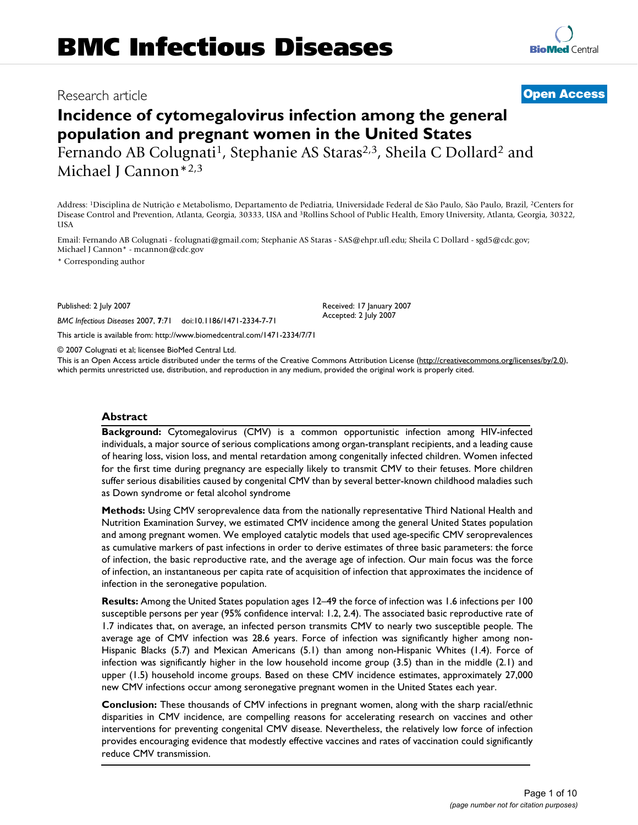# Research article **[Open Access](http://www.biomedcentral.com/info/about/charter/)**

# **Incidence of cytomegalovirus infection among the general population and pregnant women in the United States** Fernando AB Colugnati<sup>1</sup>, Stephanie AS Staras<sup>2,3</sup>, Sheila C Dollard<sup>2</sup> and

Michael J Cannon\*2,3

Address: 1Disciplina de Nutrição e Metabolismo, Departamento de Pediatria, Universidade Federal de São Paulo, São Paulo, Brazil, 2Centers for Disease Control and Prevention, Atlanta, Georgia, 30333, USA and 3Rollins School of Public Health, Emory University, Atlanta, Georgia, 30322, USA

Email: Fernando AB Colugnati - fcolugnati@gmail.com; Stephanie AS Staras - SAS@ehpr.ufl.edu; Sheila C Dollard - sgd5@cdc.gov; Michael J Cannon\* - mcannon@cdc.gov

\* Corresponding author

Published: 2 July 2007

*BMC Infectious Diseases* 2007, **7**:71 doi:10.1186/1471-2334-7-71

[This article is available from: http://www.biomedcentral.com/1471-2334/7/71](http://www.biomedcentral.com/1471-2334/7/71)

© 2007 Colugnati et al; licensee BioMed Central Ltd.

This is an Open Access article distributed under the terms of the Creative Commons Attribution License [\(http://creativecommons.org/licenses/by/2.0\)](http://creativecommons.org/licenses/by/2.0), which permits unrestricted use, distribution, and reproduction in any medium, provided the original work is properly cited.

#### **Abstract**

**Background:** Cytomegalovirus (CMV) is a common opportunistic infection among HIV-infected individuals, a major source of serious complications among organ-transplant recipients, and a leading cause of hearing loss, vision loss, and mental retardation among congenitally infected children. Women infected for the first time during pregnancy are especially likely to transmit CMV to their fetuses. More children suffer serious disabilities caused by congenital CMV than by several better-known childhood maladies such as Down syndrome or fetal alcohol syndrome

**Methods:** Using CMV seroprevalence data from the nationally representative Third National Health and Nutrition Examination Survey, we estimated CMV incidence among the general United States population and among pregnant women. We employed catalytic models that used age-specific CMV seroprevalences as cumulative markers of past infections in order to derive estimates of three basic parameters: the force of infection, the basic reproductive rate, and the average age of infection. Our main focus was the force of infection, an instantaneous per capita rate of acquisition of infection that approximates the incidence of infection in the seronegative population.

**Results:** Among the United States population ages 12–49 the force of infection was 1.6 infections per 100 susceptible persons per year (95% confidence interval: 1.2, 2.4). The associated basic reproductive rate of 1.7 indicates that, on average, an infected person transmits CMV to nearly two susceptible people. The average age of CMV infection was 28.6 years. Force of infection was significantly higher among non-Hispanic Blacks (5.7) and Mexican Americans (5.1) than among non-Hispanic Whites (1.4). Force of infection was significantly higher in the low household income group (3.5) than in the middle (2.1) and upper (1.5) household income groups. Based on these CMV incidence estimates, approximately 27,000 new CMV infections occur among seronegative pregnant women in the United States each year.

**Conclusion:** These thousands of CMV infections in pregnant women, along with the sharp racial/ethnic disparities in CMV incidence, are compelling reasons for accelerating research on vaccines and other interventions for preventing congenital CMV disease. Nevertheless, the relatively low force of infection provides encouraging evidence that modestly effective vaccines and rates of vaccination could significantly reduce CMV transmission.

Received: 17 January 2007 Accepted: 2 July 2007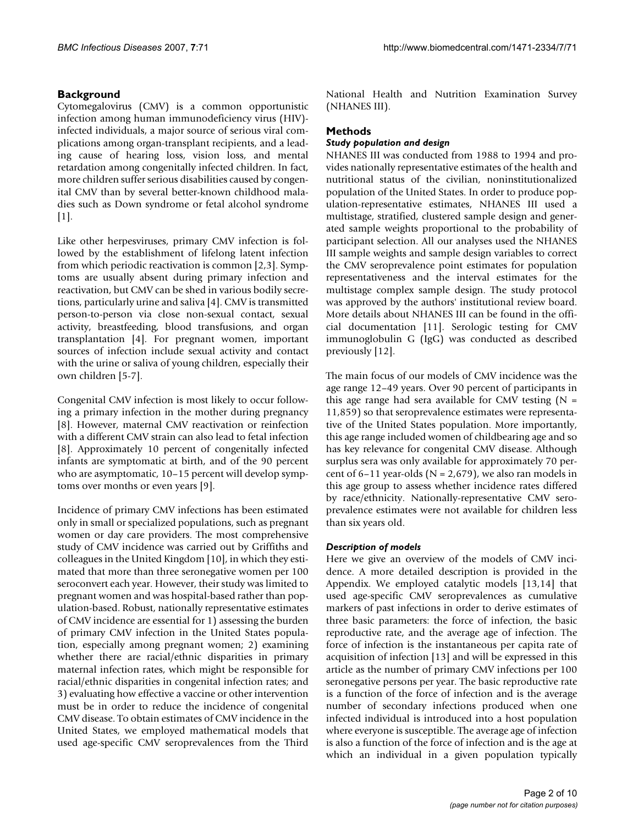# **Background**

Cytomegalovirus (CMV) is a common opportunistic infection among human immunodeficiency virus (HIV) infected individuals, a major source of serious viral complications among organ-transplant recipients, and a leading cause of hearing loss, vision loss, and mental retardation among congenitally infected children. In fact, more children suffer serious disabilities caused by congenital CMV than by several better-known childhood maladies such as Down syndrome or fetal alcohol syndrome [1].

Like other herpesviruses, primary CMV infection is followed by the establishment of lifelong latent infection from which periodic reactivation is common [2,3]. Symptoms are usually absent during primary infection and reactivation, but CMV can be shed in various bodily secretions, particularly urine and saliva [4]. CMV is transmitted person-to-person via close non-sexual contact, sexual activity, breastfeeding, blood transfusions, and organ transplantation [4]. For pregnant women, important sources of infection include sexual activity and contact with the urine or saliva of young children, especially their own children [5-7].

Congenital CMV infection is most likely to occur following a primary infection in the mother during pregnancy [8]. However, maternal CMV reactivation or reinfection with a different CMV strain can also lead to fetal infection [8]. Approximately 10 percent of congenitally infected infants are symptomatic at birth, and of the 90 percent who are asymptomatic, 10–15 percent will develop symptoms over months or even years [9].

Incidence of primary CMV infections has been estimated only in small or specialized populations, such as pregnant women or day care providers. The most comprehensive study of CMV incidence was carried out by Griffiths and colleagues in the United Kingdom [10], in which they estimated that more than three seronegative women per 100 seroconvert each year. However, their study was limited to pregnant women and was hospital-based rather than population-based. Robust, nationally representative estimates of CMV incidence are essential for 1) assessing the burden of primary CMV infection in the United States population, especially among pregnant women; 2) examining whether there are racial/ethnic disparities in primary maternal infection rates, which might be responsible for racial/ethnic disparities in congenital infection rates; and 3) evaluating how effective a vaccine or other intervention must be in order to reduce the incidence of congenital CMV disease. To obtain estimates of CMV incidence in the United States, we employed mathematical models that used age-specific CMV seroprevalences from the Third

National Health and Nutrition Examination Survey (NHANES III).

# **Methods**

#### *Study population and design*

NHANES III was conducted from 1988 to 1994 and provides nationally representative estimates of the health and nutritional status of the civilian, noninstitutionalized population of the United States. In order to produce population-representative estimates, NHANES III used a multistage, stratified, clustered sample design and generated sample weights proportional to the probability of participant selection. All our analyses used the NHANES III sample weights and sample design variables to correct the CMV seroprevalence point estimates for population representativeness and the interval estimates for the multistage complex sample design. The study protocol was approved by the authors' institutional review board. More details about NHANES III can be found in the official documentation [11]. Serologic testing for CMV immunoglobulin G (IgG) was conducted as described previously [12].

The main focus of our models of CMV incidence was the age range 12–49 years. Over 90 percent of participants in this age range had sera available for CMV testing  $(N =$ 11,859) so that seroprevalence estimates were representative of the United States population. More importantly, this age range included women of childbearing age and so has key relevance for congenital CMV disease. Although surplus sera was only available for approximately 70 percent of  $6-11$  year-olds (N = 2,679), we also ran models in this age group to assess whether incidence rates differed by race/ethnicity. Nationally-representative CMV seroprevalence estimates were not available for children less than six years old.

# *Description of models*

Here we give an overview of the models of CMV incidence. A more detailed description is provided in the Appendix. We employed catalytic models [13,14] that used age-specific CMV seroprevalences as cumulative markers of past infections in order to derive estimates of three basic parameters: the force of infection, the basic reproductive rate, and the average age of infection. The force of infection is the instantaneous per capita rate of acquisition of infection [13] and will be expressed in this article as the number of primary CMV infections per 100 seronegative persons per year. The basic reproductive rate is a function of the force of infection and is the average number of secondary infections produced when one infected individual is introduced into a host population where everyone is susceptible. The average age of infection is also a function of the force of infection and is the age at which an individual in a given population typically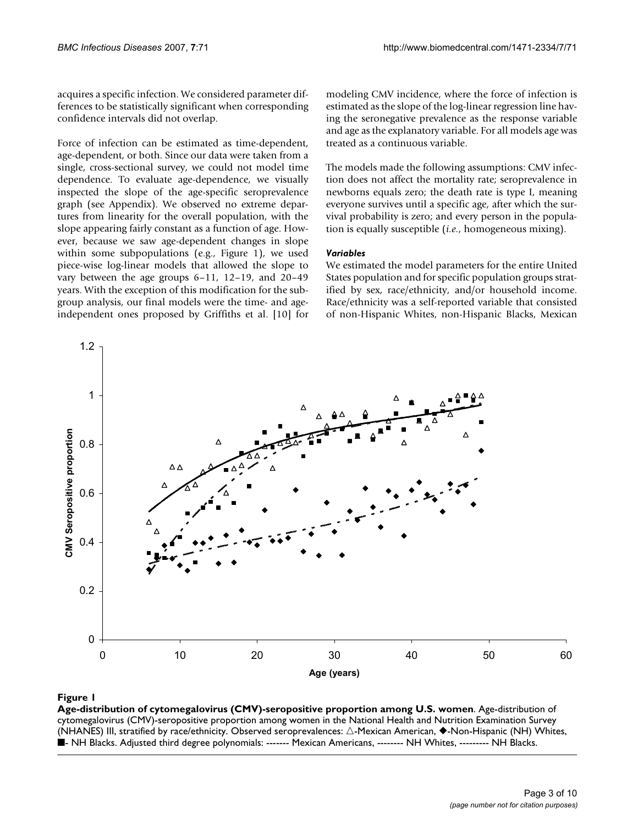acquires a specific infection. We considered parameter differences to be statistically significant when corresponding confidence intervals did not overlap.

Force of infection can be estimated as time-dependent, age-dependent, or both. Since our data were taken from a single, cross-sectional survey, we could not model time dependence. To evaluate age-dependence, we visually inspected the slope of the age-specific seroprevalence graph (see Appendix). We observed no extreme departures from linearity for the overall population, with the slope appearing fairly constant as a function of age. However, because we saw age-dependent changes in slope within some subpopulations (e.g., Figure 1), we used piece-wise log-linear models that allowed the slope to vary between the age groups 6–11, 12–19, and 20–49 years. With the exception of this modification for the subgroup analysis, our final models were the time- and ageindependent ones proposed by Griffiths et al. [10] for modeling CMV incidence, where the force of infection is estimated as the slope of the log-linear regression line having the seronegative prevalence as the response variable and age as the explanatory variable. For all models age was treated as a continuous variable.

The models made the following assumptions: CMV infection does not affect the mortality rate; seroprevalence in newborns equals zero; the death rate is type I, meaning everyone survives until a specific age, after which the survival probability is zero; and every person in the population is equally susceptible (*i.e.*, homogeneous mixing).

#### *Variables*

We estimated the model parameters for the entire United States population and for specific population groups stratified by sex, race/ethnicity, and/or household income. Race/ethnicity was a self-reported variable that consisted of non-Hispanic Whites, non-Hispanic Blacks, Mexican



# **Figure 1** Age-distribution of cytomegalovirus (CMV)-seropositive proportion among U.S. women among U.S. women among U.S. women and U.S. women among U.S. women among U.S. women among U.S. women among U.S. women among U.S.

**Age-distribution of cytomegalovirus (CMV)-seropositive proportion among U.S. women**. Age-distribution of cytomegalovirus (CMV)-seropositive proportion among women in the National Health and Nutrition Examination Survey (NHANES) III, stratified by race/ethnicity. Observed seroprevalences:  $\triangle$ -Mexican American,  $\blacklozenge$ -Non-Hispanic (NH) Whites, ■- NH Blacks. Adjusted third degree polynomials: ------- Mexican Americans, -------- NH Whites, --------- NH Blacks.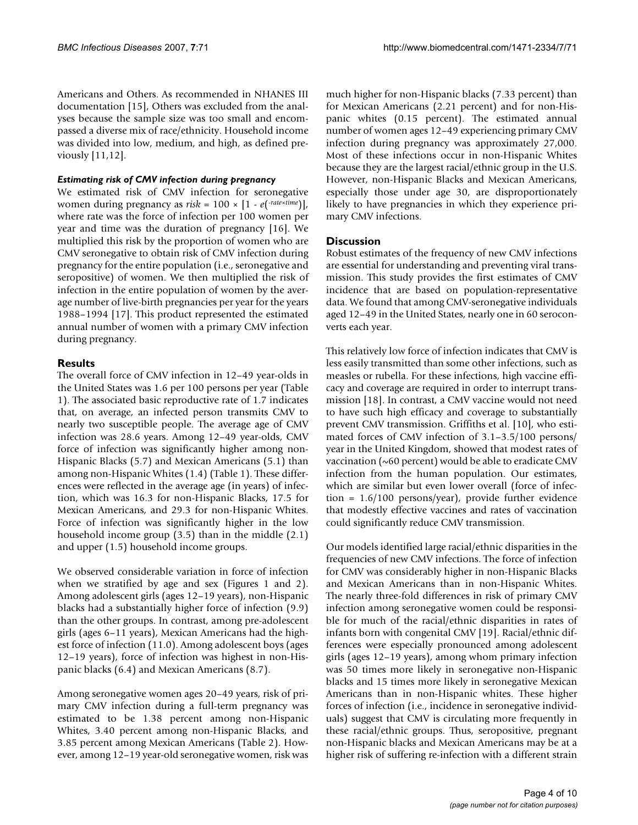Americans and Others. As recommended in NHANES III documentation [15], Others was excluded from the analyses because the sample size was too small and encompassed a diverse mix of race/ethnicity. Household income was divided into low, medium, and high, as defined previously [11,12].

#### *Estimating risk of CMV infection during pregnancy*

We estimated risk of CMV infection for seronegative women during pregnancy as  $risk = 100 \times [1 - e(\text{rate} \times \text{time})]$ , where rate was the force of infection per 100 women per year and time was the duration of pregnancy [16]. We multiplied this risk by the proportion of women who are CMV seronegative to obtain risk of CMV infection during pregnancy for the entire population (i.e., seronegative and seropositive) of women. We then multiplied the risk of infection in the entire population of women by the average number of live-birth pregnancies per year for the years 1988–1994 [17]. This product represented the estimated annual number of women with a primary CMV infection during pregnancy.

# **Results**

The overall force of CMV infection in 12–49 year-olds in the United States was 1.6 per 100 persons per year (Table 1). The associated basic reproductive rate of 1.7 indicates that, on average, an infected person transmits CMV to nearly two susceptible people. The average age of CMV infection was 28.6 years. Among 12–49 year-olds, CMV force of infection was significantly higher among non-Hispanic Blacks (5.7) and Mexican Americans (5.1) than among non-Hispanic Whites (1.4) (Table 1). These differences were reflected in the average age (in years) of infection, which was 16.3 for non-Hispanic Blacks, 17.5 for Mexican Americans, and 29.3 for non-Hispanic Whites. Force of infection was significantly higher in the low household income group (3.5) than in the middle (2.1) and upper (1.5) household income groups.

We observed considerable variation in force of infection when we stratified by age and sex (Figures 1 and 2). Among adolescent girls (ages 12–19 years), non-Hispanic blacks had a substantially higher force of infection (9.9) than the other groups. In contrast, among pre-adolescent girls (ages 6–11 years), Mexican Americans had the highest force of infection (11.0). Among adolescent boys (ages 12–19 years), force of infection was highest in non-Hispanic blacks (6.4) and Mexican Americans (8.7).

Among seronegative women ages 20–49 years, risk of primary CMV infection during a full-term pregnancy was estimated to be 1.38 percent among non-Hispanic Whites, 3.40 percent among non-Hispanic Blacks, and 3.85 percent among Mexican Americans (Table 2). However, among 12–19 year-old seronegative women, risk was much higher for non-Hispanic blacks (7.33 percent) than for Mexican Americans (2.21 percent) and for non-Hispanic whites (0.15 percent). The estimated annual number of women ages 12–49 experiencing primary CMV infection during pregnancy was approximately 27,000. Most of these infections occur in non-Hispanic Whites because they are the largest racial/ethnic group in the U.S. However, non-Hispanic Blacks and Mexican Americans, especially those under age 30, are disproportionately likely to have pregnancies in which they experience primary CMV infections.

# **Discussion**

Robust estimates of the frequency of new CMV infections are essential for understanding and preventing viral transmission. This study provides the first estimates of CMV incidence that are based on population-representative data. We found that among CMV-seronegative individuals aged 12–49 in the United States, nearly one in 60 seroconverts each year.

This relatively low force of infection indicates that CMV is less easily transmitted than some other infections, such as measles or rubella. For these infections, high vaccine efficacy and coverage are required in order to interrupt transmission [18]. In contrast, a CMV vaccine would not need to have such high efficacy and coverage to substantially prevent CMV transmission. Griffiths et al. [10], who estimated forces of CMV infection of 3.1–3.5/100 persons/ year in the United Kingdom, showed that modest rates of vaccination (~60 percent) would be able to eradicate CMV infection from the human population. Our estimates, which are similar but even lower overall (force of infection = 1.6/100 persons/year), provide further evidence that modestly effective vaccines and rates of vaccination could significantly reduce CMV transmission.

Our models identified large racial/ethnic disparities in the frequencies of new CMV infections. The force of infection for CMV was considerably higher in non-Hispanic Blacks and Mexican Americans than in non-Hispanic Whites. The nearly three-fold differences in risk of primary CMV infection among seronegative women could be responsible for much of the racial/ethnic disparities in rates of infants born with congenital CMV [19]. Racial/ethnic differences were especially pronounced among adolescent girls (ages 12–19 years), among whom primary infection was 50 times more likely in seronegative non-Hispanic blacks and 15 times more likely in seronegative Mexican Americans than in non-Hispanic whites. These higher forces of infection (i.e., incidence in seronegative individuals) suggest that CMV is circulating more frequently in these racial/ethnic groups. Thus, seropositive, pregnant non-Hispanic blacks and Mexican Americans may be at a higher risk of suffering re-infection with a different strain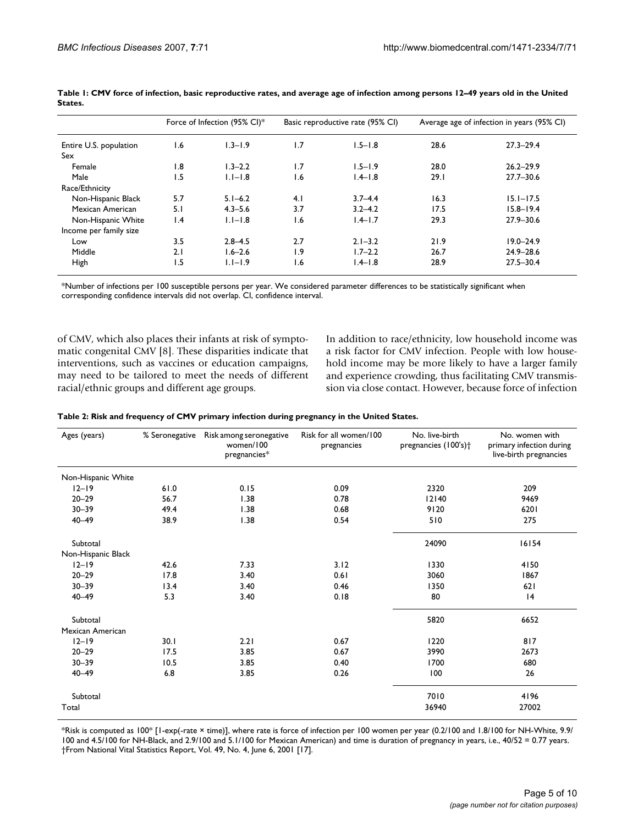| Entire U.S. population | Force of Infection (95% CI)* |             |     | Basic reproductive rate (95% CI) |      | Average age of infection in years (95% CI) |  |
|------------------------|------------------------------|-------------|-----|----------------------------------|------|--------------------------------------------|--|
|                        | 1.6                          | $1.3 - 1.9$ | 1.7 | $1.5 - 1.8$                      | 28.6 | $27.3 - 29.4$                              |  |
| Sex                    |                              |             |     |                                  |      |                                            |  |
| Female                 | 1.8                          | $1.3 - 2.2$ | 1.7 | $1.5 - 1.9$                      | 28.0 | $26.2 - 29.9$                              |  |
| Male                   | 1.5                          | $1.1 - 1.8$ | 1.6 | $1.4 - 1.8$                      | 29.1 | $27.7 - 30.6$                              |  |
| Race/Ethnicity         |                              |             |     |                                  |      |                                            |  |
| Non-Hispanic Black     | 5.7                          | $5.1 - 6.2$ | 4.1 | $3.7 - 4.4$                      | 16.3 | $15.1 - 17.5$                              |  |
| Mexican American       | 5.1                          | $4.3 - 5.6$ | 3.7 | $3.2 - 4.2$                      | 17.5 | $15.8 - 19.4$                              |  |
| Non-Hispanic White     | $\mathsf{I}$ .4              | $1.1 - 1.8$ | 1.6 | $1.4 - 1.7$                      | 29.3 | $27.9 - 30.6$                              |  |
| Income per family size |                              |             |     |                                  |      |                                            |  |
| Low                    | 3.5                          | $2.8 - 4.5$ | 2.7 | $2.1 - 3.2$                      | 21.9 | $19.0 - 24.9$                              |  |
| Middle                 | 2.1                          | $1.6 - 2.6$ | l.9 | $1.7 - 2.2$                      | 26.7 | $24.9 - 28.6$                              |  |
| High                   | 1.5                          | $1.1 - 1.9$ | 1.6 | $1.4 - 1.8$                      | 28.9 | $27.5 - 30.4$                              |  |

**Table 1: CMV force of infection, basic reproductive rates, and average age of infection among persons 12–49 years old in the United States.**

\*Number of infections per 100 susceptible persons per year. We considered parameter differences to be statistically significant when corresponding confidence intervals did not overlap. CI, confidence interval.

of CMV, which also places their infants at risk of symptomatic congenital CMV [8]. These disparities indicate that interventions, such as vaccines or education campaigns, may need to be tailored to meet the needs of different racial/ethnic groups and different age groups.

In addition to race/ethnicity, low household income was a risk factor for CMV infection. People with low household income may be more likely to have a larger family and experience crowding, thus facilitating CMV transmission via close contact. However, because force of infection

| Table 2: Risk and frequency of CMV primary infection during pregnancy in the United States. |  |  |
|---------------------------------------------------------------------------------------------|--|--|
|---------------------------------------------------------------------------------------------|--|--|

| Ages (years)       | % Seronegative | Risk among seronegative<br>women/100<br>pregnancies* | Risk for all women/100<br>pregnancies | No. live-birth<br>pregnancies (100's) <sup>+</sup> | No. women with<br>primary infection during<br>live-birth pregnancies |
|--------------------|----------------|------------------------------------------------------|---------------------------------------|----------------------------------------------------|----------------------------------------------------------------------|
| Non-Hispanic White |                |                                                      |                                       |                                                    |                                                                      |
| $12 - 19$          | 61.0           | 0.15                                                 | 0.09                                  | 2320                                               | 209                                                                  |
| $20 - 29$          | 56.7           | 1.38                                                 | 0.78                                  | 12140                                              | 9469                                                                 |
| $30 - 39$          | 49.4           | 1.38                                                 | 0.68                                  | 9120                                               | 6201                                                                 |
| $40 - 49$          | 38.9           | 1.38                                                 | 0.54                                  | 510                                                | 275                                                                  |
| Subtotal           |                |                                                      |                                       | 24090                                              | 16154                                                                |
| Non-Hispanic Black |                |                                                      |                                       |                                                    |                                                                      |
| $12 - 19$          | 42.6           | 7.33                                                 | 3.12                                  | 1330                                               | 4150                                                                 |
| $20 - 29$          | 17.8           | 3.40                                                 | 0.61                                  | 3060                                               | 1867                                                                 |
| $30 - 39$          | 13.4           | 3.40                                                 | 0.46                                  | 1350                                               | 621                                                                  |
| $40 - 49$          | 5.3            | 3.40                                                 | 0.18                                  | 80                                                 | 4                                                                    |
| Subtotal           |                |                                                      |                                       | 5820                                               | 6652                                                                 |
| Mexican American   |                |                                                      |                                       |                                                    |                                                                      |
| $12 - 19$          | 30.1           | 2.21                                                 | 0.67                                  | 1220                                               | 817                                                                  |
| $20 - 29$          | 17.5           | 3.85                                                 | 0.67                                  | 3990                                               | 2673                                                                 |
| $30 - 39$          | 10.5           | 3.85                                                 | 0.40                                  | 1700                                               | 680                                                                  |
| $40 - 49$          | 6.8            | 3.85                                                 | 0.26                                  | 100                                                | 26                                                                   |
| Subtotal           |                |                                                      |                                       | 7010                                               | 4196                                                                 |
| Total              |                |                                                      |                                       | 36940                                              | 27002                                                                |

\*Risk is computed as 100\* [1-exp(-rate × time)], where rate is force of infection per 100 women per year (0.2/100 and 1.8/100 for NH-White, 9.9/ 100 and 4.5/100 for NH-Black, and 2.9/100 and 5.1/100 for Mexican American) and time is duration of pregnancy in years, i.e., 40/52 = 0.77 years. †From National Vital Statistics Report, Vol. 49, No. 4, June 6, 2001 [17].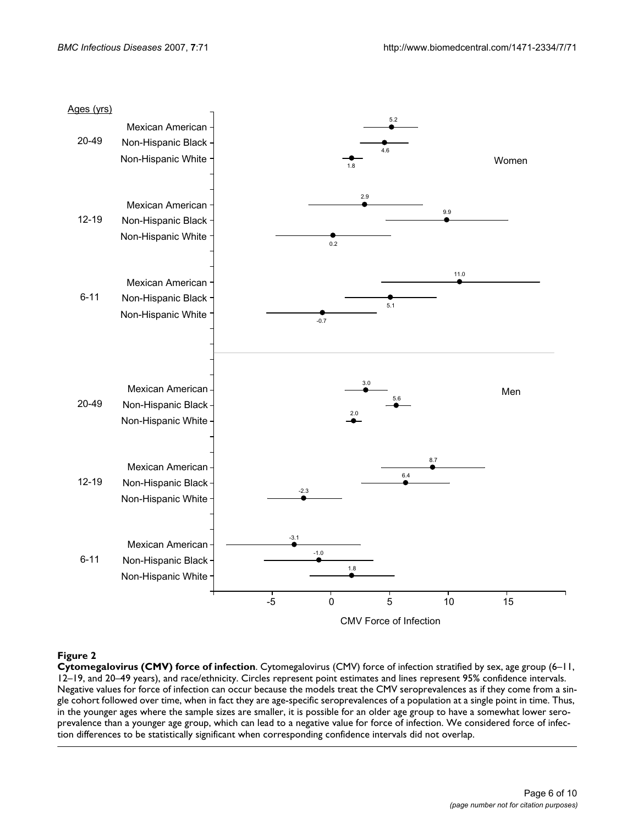

# **Figure 2**

**Cytomegalovirus (CMV) force of infection**. Cytomegalovirus (CMV) force of infection stratified by sex, age group (6–11, 12–19, and 20–49 years), and race/ethnicity. Circles represent point estimates and lines represent 95% confidence intervals. Negative values for force of infection can occur because the models treat the CMV seroprevalences as if they come from a single cohort followed over time, when in fact they are age-specific seroprevalences of a population at a single point in time. Thus, in the younger ages where the sample sizes are smaller, it is possible for an older age group to have a somewhat lower seroprevalence than a younger age group, which can lead to a negative value for force of infection. We considered force of infection differences to be statistically significant when corresponding confidence intervals did not overlap.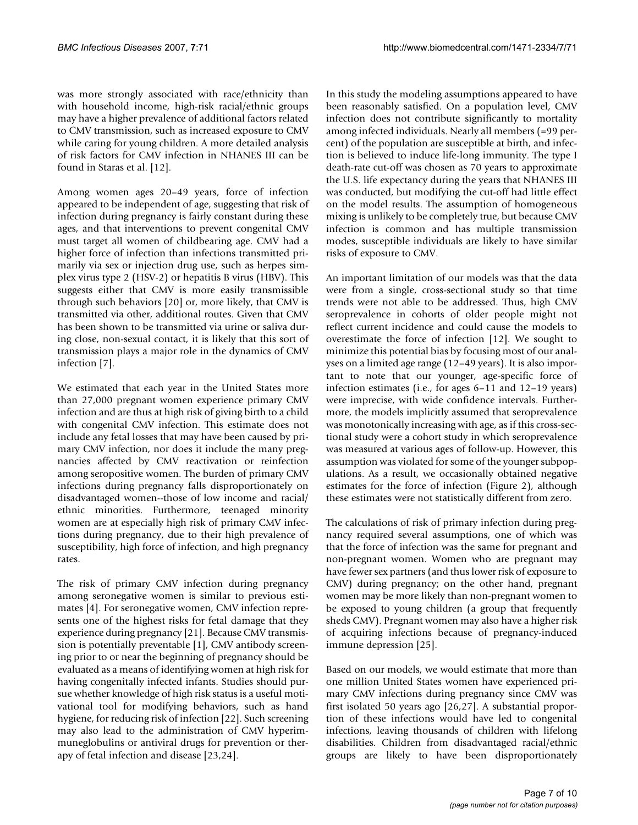was more strongly associated with race/ethnicity than with household income, high-risk racial/ethnic groups may have a higher prevalence of additional factors related to CMV transmission, such as increased exposure to CMV while caring for young children. A more detailed analysis of risk factors for CMV infection in NHANES III can be found in Staras et al. [12].

Among women ages 20–49 years, force of infection appeared to be independent of age, suggesting that risk of infection during pregnancy is fairly constant during these ages, and that interventions to prevent congenital CMV must target all women of childbearing age. CMV had a higher force of infection than infections transmitted primarily via sex or injection drug use, such as herpes simplex virus type 2 (HSV-2) or hepatitis B virus (HBV). This suggests either that CMV is more easily transmissible through such behaviors [20] or, more likely, that CMV is transmitted via other, additional routes. Given that CMV has been shown to be transmitted via urine or saliva during close, non-sexual contact, it is likely that this sort of transmission plays a major role in the dynamics of CMV infection [7].

We estimated that each year in the United States more than 27,000 pregnant women experience primary CMV infection and are thus at high risk of giving birth to a child with congenital CMV infection. This estimate does not include any fetal losses that may have been caused by primary CMV infection, nor does it include the many pregnancies affected by CMV reactivation or reinfection among seropositive women. The burden of primary CMV infections during pregnancy falls disproportionately on disadvantaged women--those of low income and racial/ ethnic minorities. Furthermore, teenaged minority women are at especially high risk of primary CMV infections during pregnancy, due to their high prevalence of susceptibility, high force of infection, and high pregnancy rates.

The risk of primary CMV infection during pregnancy among seronegative women is similar to previous estimates [4]. For seronegative women, CMV infection represents one of the highest risks for fetal damage that they experience during pregnancy [21]. Because CMV transmission is potentially preventable [1], CMV antibody screening prior to or near the beginning of pregnancy should be evaluated as a means of identifying women at high risk for having congenitally infected infants. Studies should pursue whether knowledge of high risk status is a useful motivational tool for modifying behaviors, such as hand hygiene, for reducing risk of infection [22]. Such screening may also lead to the administration of CMV hyperimmuneglobulins or antiviral drugs for prevention or therapy of fetal infection and disease [23,24].

In this study the modeling assumptions appeared to have been reasonably satisfied. On a population level, CMV infection does not contribute significantly to mortality among infected individuals. Nearly all members (=99 percent) of the population are susceptible at birth, and infection is believed to induce life-long immunity. The type I death-rate cut-off was chosen as 70 years to approximate the U.S. life expectancy during the years that NHANES III was conducted, but modifying the cut-off had little effect on the model results. The assumption of homogeneous mixing is unlikely to be completely true, but because CMV infection is common and has multiple transmission modes, susceptible individuals are likely to have similar risks of exposure to CMV.

An important limitation of our models was that the data were from a single, cross-sectional study so that time trends were not able to be addressed. Thus, high CMV seroprevalence in cohorts of older people might not reflect current incidence and could cause the models to overestimate the force of infection [12]. We sought to minimize this potential bias by focusing most of our analyses on a limited age range (12–49 years). It is also important to note that our younger, age-specific force of infection estimates (i.e., for ages 6–11 and 12–19 years) were imprecise, with wide confidence intervals. Furthermore, the models implicitly assumed that seroprevalence was monotonically increasing with age, as if this cross-sectional study were a cohort study in which seroprevalence was measured at various ages of follow-up. However, this assumption was violated for some of the younger subpopulations. As a result, we occasionally obtained negative estimates for the force of infection (Figure 2), although these estimates were not statistically different from zero.

The calculations of risk of primary infection during pregnancy required several assumptions, one of which was that the force of infection was the same for pregnant and non-pregnant women. Women who are pregnant may have fewer sex partners (and thus lower risk of exposure to CMV) during pregnancy; on the other hand, pregnant women may be more likely than non-pregnant women to be exposed to young children (a group that frequently sheds CMV). Pregnant women may also have a higher risk of acquiring infections because of pregnancy-induced immune depression [25].

Based on our models, we would estimate that more than one million United States women have experienced primary CMV infections during pregnancy since CMV was first isolated 50 years ago [26,27]. A substantial proportion of these infections would have led to congenital infections, leaving thousands of children with lifelong disabilities. Children from disadvantaged racial/ethnic groups are likely to have been disproportionately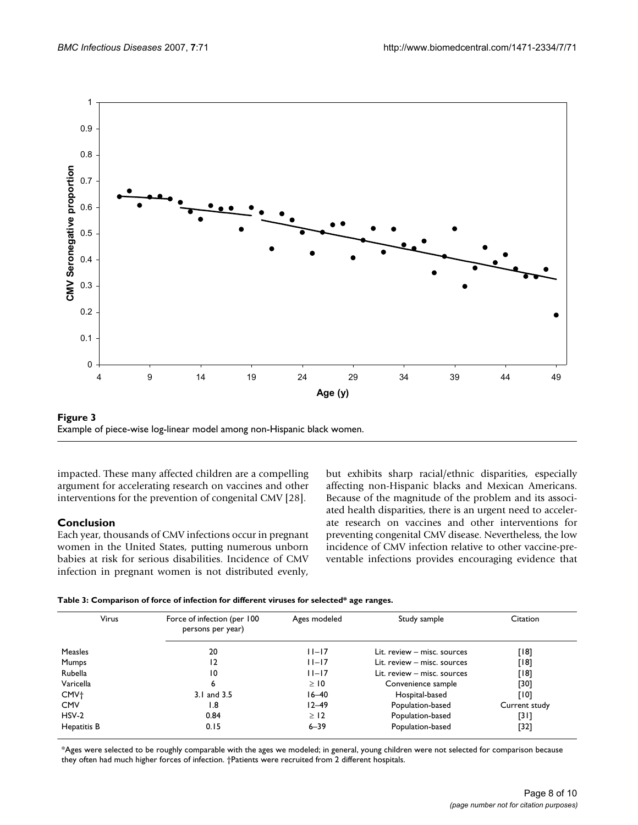



impacted. These many affected children are a compelling argument for accelerating research on vaccines and other interventions for the prevention of congenital CMV [28].

# **Conclusion**

Each year, thousands of CMV infections occur in pregnant women in the United States, putting numerous unborn babies at risk for serious disabilities. Incidence of CMV infection in pregnant women is not distributed evenly,

but exhibits sharp racial/ethnic disparities, especially affecting non-Hispanic blacks and Mexican Americans. Because of the magnitude of the problem and its associated health disparities, there is an urgent need to accelerate research on vaccines and other interventions for preventing congenital CMV disease. Nevertheless, the low incidence of CMV infection relative to other vaccine-preventable infections provides encouraging evidence that

| Table 3: Comparison of force of infection for different viruses for selected* age ranges. |  |  |
|-------------------------------------------------------------------------------------------|--|--|
|-------------------------------------------------------------------------------------------|--|--|

| Virus            | Force of infection (per 100<br>persons per year) | Ages modeled | Study sample                | Citation      |
|------------------|--------------------------------------------------|--------------|-----------------------------|---------------|
| <b>Measles</b>   | 20                                               | $ 1 -17$     | Lit. review - misc. sources | [18]          |
| Mumps            | 12                                               | $ 1 -17$     | Lit. review - misc. sources | [18]          |
| Rubella          | 10                                               | $11 - 17$    | Lit. review - misc. sources | [18]          |
| Varicella        | 6                                                | $\geq$ 10    | Convenience sample          | [30]          |
| CMV <sup>+</sup> | 3.1 and 3.5                                      | $16 - 40$    | Hospital-based              | [10]          |
| <b>CMV</b>       | 1.8                                              | $12 - 49$    | Population-based            | Current study |
| $HSV-2$          | 0.84                                             | $\geq$ 12    | Population-based            | [31]          |
| Hepatitis B      | 0.15                                             | $6 - 39$     | Population-based            | $[32]$        |

\*Ages were selected to be roughly comparable with the ages we modeled; in general, young children were not selected for comparison because they often had much higher forces of infection. †Patients were recruited from 2 different hospitals.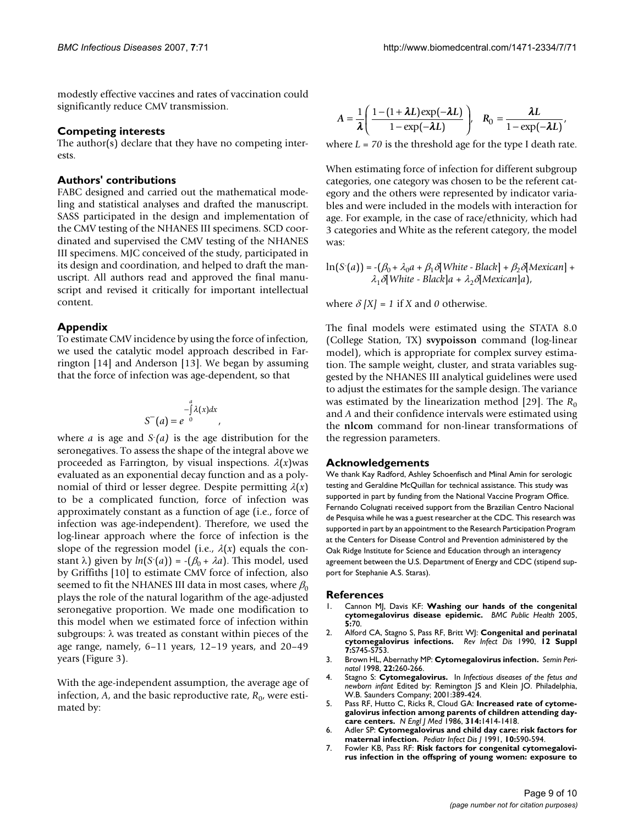modestly effective vaccines and rates of vaccination could significantly reduce CMV transmission.

#### **Competing interests**

The author(s) declare that they have no competing interests.

#### **Authors' contributions**

FABC designed and carried out the mathematical modeling and statistical analyses and drafted the manuscript. SASS participated in the design and implementation of the CMV testing of the NHANES III specimens. SCD coordinated and supervised the CMV testing of the NHANES III specimens. MJC conceived of the study, participated in its design and coordination, and helped to draft the manuscript. All authors read and approved the final manuscript and revised it critically for important intellectual content.

#### **Appendix**

To estimate CMV incidence by using the force of infection, we used the catalytic model approach described in Farrington [14] and Anderson [13]. We began by assuming that the force of infection was age-dependent, so that

$$
S^{-}(a) = e^{-\int_{a}^{a} \lambda(x) dx},
$$

where *a* is age and *S*- *(a)* is the age distribution for the seronegatives. To assess the shape of the integral above we proceeded as Farrington, by visual inspections.  $\lambda(x)$  was evaluated as an exponential decay function and as a polynomial of third or lesser degree. Despite permitting  $\lambda(x)$ to be a complicated function, force of infection was approximately constant as a function of age (i.e., force of infection was age-independent). Therefore, we used the log-linear approach where the force of infection is the slope of the regression model (i.e.,  $\lambda(x)$  equals the constant  $\lambda$ ) given by  $ln(S(a)) = -(B_0 + \lambda a)$ . This model, used by Griffiths [10] to estimate CMV force of infection, also seemed to fit the NHANES III data in most cases, where  $\beta_0$ plays the role of the natural logarithm of the age-adjusted seronegative proportion. We made one modification to this model when we estimated force of infection within subgroups:  $\lambda$  was treated as constant within pieces of the age range, namely, 6–11 years, 12–19 years, and 20–49 years (Figure 3).

With the age-independent assumption, the average age of infection,  $A$ , and the basic reproductive rate,  $R_{0}$ , were estimated by:

$$
A = \frac{1}{\lambda} \left( \frac{1 - (1 + \lambda L) \exp(-\lambda L)}{1 - \exp(-\lambda L)} \right), \quad R_0 = \frac{\lambda L}{1 - \exp(-\lambda L)},
$$

where  $L = 70$  is the threshold age for the type I death rate.

When estimating force of infection for different subgroup categories, one category was chosen to be the referent category and the others were represented by indicator variables and were included in the models with interaction for age. For example, in the case of race/ethnicity, which had 3 categories and White as the referent category, the model was:

$$
\ln(S(a)) = -(\beta_0 + \lambda_0 a + \beta_1 \delta[\text{White - Black}] + \beta_2 \delta[\text{Mexican}] + \lambda_1 \delta[\text{White - Black}]a + \lambda_2 \delta[\text{Mexican}]a),
$$

where  $\delta$   $[X] = 1$  if *X* and *0* otherwise.

The final models were estimated using the STATA 8.0 (College Station, TX) **svypoisson** command (log-linear model), which is appropriate for complex survey estimation. The sample weight, cluster, and strata variables suggested by the NHANES III analytical guidelines were used to adjust the estimates for the sample design. The variance was estimated by the linearization method [29]. The  $R_0$ and *A* and their confidence intervals were estimated using the **nlcom** command for non-linear transformations of the regression parameters.

#### **Acknowledgements**

We thank Kay Radford, Ashley Schoenfisch and Minal Amin for serologic testing and Geraldine McQuillan for technical assistance. This study was supported in part by funding from the National Vaccine Program Office. Fernando Colugnati received support from the Brazilian Centro Nacional de Pesquisa while he was a guest researcher at the CDC. This research was supported in part by an appointment to the Research Participation Program at the Centers for Disease Control and Prevention administered by the Oak Ridge Institute for Science and Education through an interagency agreement between the U.S. Department of Energy and CDC (stipend support for Stephanie A.S. Staras).

#### **References**

- 1. Cannon MJ, Davis KF: **[Washing our hands of the congenital](http://www.ncbi.nlm.nih.gov/entrez/query.fcgi?cmd=Retrieve&db=PubMed&dopt=Abstract&list_uids=15967030) [cytomegalovirus disease epidemic.](http://www.ncbi.nlm.nih.gov/entrez/query.fcgi?cmd=Retrieve&db=PubMed&dopt=Abstract&list_uids=15967030)** *BMC Public Health* 2005, **5:**70.
- 2. Alford CA, Stagno S, Pass RF, Britt WJ: **[Congenital and perinatal](http://www.ncbi.nlm.nih.gov/entrez/query.fcgi?cmd=Retrieve&db=PubMed&dopt=Abstract&list_uids=2173104) [cytomegalovirus infections.](http://www.ncbi.nlm.nih.gov/entrez/query.fcgi?cmd=Retrieve&db=PubMed&dopt=Abstract&list_uids=2173104)** *Rev Infect Dis* 1990, **12 Suppl 7:**S745-S753.
- 3. Brown HL, Abernathy MP: **[Cytomegalovirus infection.](http://www.ncbi.nlm.nih.gov/entrez/query.fcgi?cmd=Retrieve&db=PubMed&dopt=Abstract&list_uids=9738990)** *Semin Perinatol* 1998, **22:**260-266.
- 4. Stagno S: **Cytomegalovirus.** In *Infectious diseases of the fetus and newborn infant* Edited by: Remington JS and Klein JO. Philadelphia, W.B. Saunders Company; 2001:389-424.
- 5. Pass RF, Hutto C, Ricks R, Cloud GA: **[Increased rate of cytome](http://www.ncbi.nlm.nih.gov/entrez/query.fcgi?cmd=Retrieve&db=PubMed&dopt=Abstract&list_uids=3010113)[galovirus infection among parents of children attending day](http://www.ncbi.nlm.nih.gov/entrez/query.fcgi?cmd=Retrieve&db=PubMed&dopt=Abstract&list_uids=3010113)[care centers.](http://www.ncbi.nlm.nih.gov/entrez/query.fcgi?cmd=Retrieve&db=PubMed&dopt=Abstract&list_uids=3010113)** *N Engl J Med* 1986, **314:**1414-1418.
- 6. Adler SP: **[Cytomegalovirus and child day care: risk factors for](http://www.ncbi.nlm.nih.gov/entrez/query.fcgi?cmd=Retrieve&db=PubMed&dopt=Abstract&list_uids=1653939) [maternal infection.](http://www.ncbi.nlm.nih.gov/entrez/query.fcgi?cmd=Retrieve&db=PubMed&dopt=Abstract&list_uids=1653939)** *Pediatr Infect Dis J* 1991, **10:**590-594.
- 7. Fowler KB, Pass RF: **[Risk factors for congenital cytomegalovi](http://www.ncbi.nlm.nih.gov/entrez/query.fcgi?cmd=Retrieve&db=PubMed&dopt=Abstract&list_uids=16847076)[rus infection in the offspring of young women: exposure to](http://www.ncbi.nlm.nih.gov/entrez/query.fcgi?cmd=Retrieve&db=PubMed&dopt=Abstract&list_uids=16847076)**